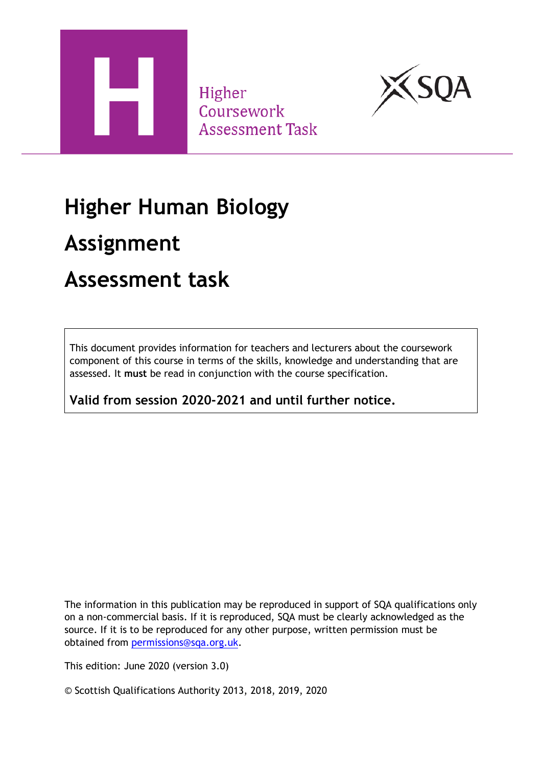

Higher Coursework **Assessment Task** 



# **Higher Human Biology**

# **Assignment**

## **Assessment task**

This document provides information for teachers and lecturers about the coursework component of this course in terms of the skills, knowledge and understanding that are assessed. It **must** be read in conjunction with the course specification.

**Valid from session 2020-2021 and until further notice.** 

The information in this publication may be reproduced in support of SQA qualifications only on a non-commercial basis. If it is reproduced, SQA must be clearly acknowledged as the source. If it is to be reproduced for any other purpose, written permission must be obtained from [permissions@sqa.org.uk.](mailto:permissions@sqa.org.uk)

This edition: June 2020 (version 3.0)

© Scottish Qualifications Authority 2013, 2018, 2019, 2020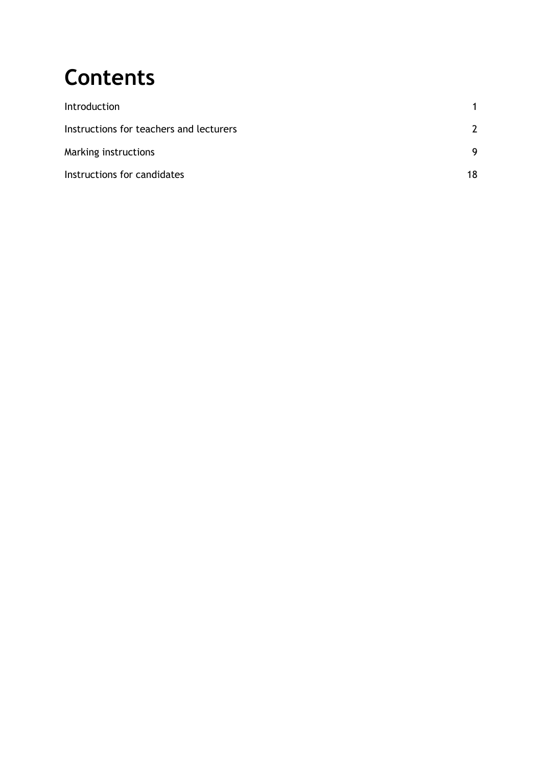# **Contents**

| Introduction                            |    |
|-----------------------------------------|----|
| Instructions for teachers and lecturers |    |
| Marking instructions                    | 9  |
| Instructions for candidates             | 18 |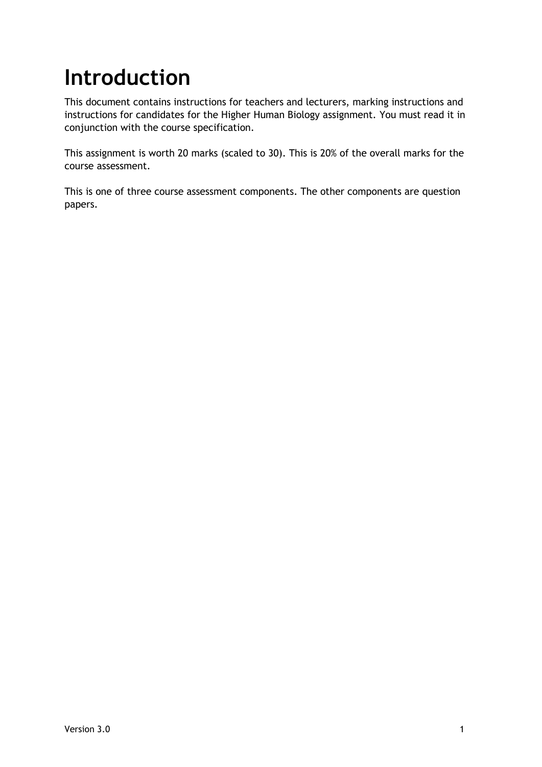# <span id="page-2-0"></span>**Introduction**

This document contains instructions for teachers and lecturers, marking instructions and instructions for candidates for the Higher Human Biology assignment. You must read it in conjunction with the course specification.

This assignment is worth 20 marks (scaled to 30). This is 20% of the overall marks for the course assessment.

This is one of three course assessment components. The other components are question papers.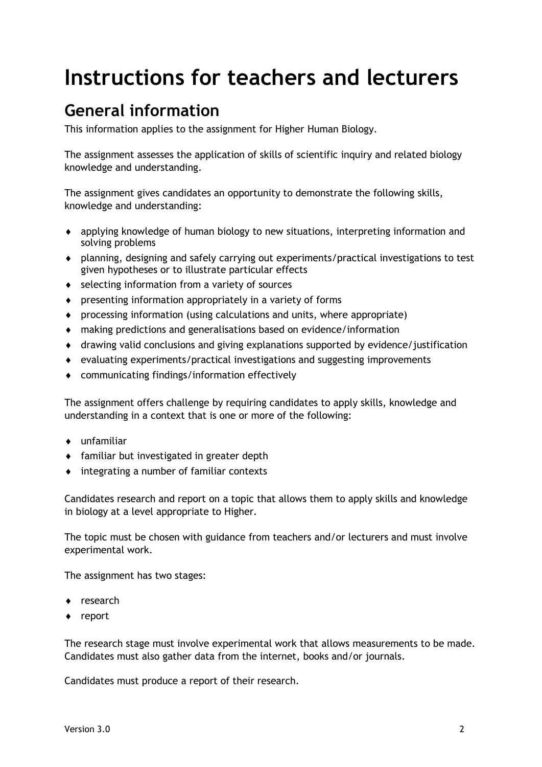# <span id="page-3-0"></span>**Instructions for teachers and lecturers**

## **General information**

This information applies to the assignment for Higher Human Biology.

The assignment assesses the application of skills of scientific inquiry and related biology knowledge and understanding.

The assignment gives candidates an opportunity to demonstrate the following skills, knowledge and understanding:

- applying knowledge of human biology to new situations, interpreting information and solving problems
- planning, designing and safely carrying out experiments/practical investigations to test given hypotheses or to illustrate particular effects
- ◆ selecting information from a variety of sources
- presenting information appropriately in a variety of forms
- processing information (using calculations and units, where appropriate)
- making predictions and generalisations based on evidence/information
- drawing valid conclusions and giving explanations supported by evidence/justification
- evaluating experiments/practical investigations and suggesting improvements
- communicating findings/information effectively

The assignment offers challenge by requiring candidates to apply skills, knowledge and understanding in a context that is one or more of the following:

- unfamiliar
- familiar but investigated in greater depth
- integrating a number of familiar contexts

Candidates research and report on a topic that allows them to apply skills and knowledge in biology at a level appropriate to Higher.

The topic must be chosen with guidance from teachers and/or lecturers and must involve experimental work.

The assignment has two stages:

- ◆ research
- ◆ report

The research stage must involve experimental work that allows measurements to be made. Candidates must also gather data from the internet, books and/or journals.

Candidates must produce a report of their research.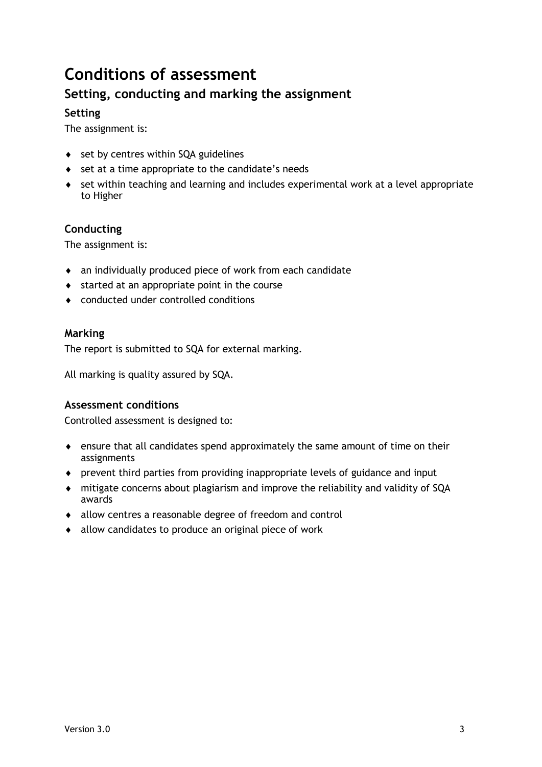## **Conditions of assessment**

### **Setting, conducting and marking the assignment**

#### **Setting**

The assignment is:

- ◆ set by centres within SQA guidelines
- ◆ set at a time appropriate to the candidate's needs
- set within teaching and learning and includes experimental work at a level appropriate to Higher

#### **Conducting**

The assignment is:

- an individually produced piece of work from each candidate
- $\bullet$  started at an appropriate point in the course
- conducted under controlled conditions

#### **Marking**

The report is submitted to SQA for external marking.

All marking is quality assured by SQA.

#### **Assessment conditions**

Controlled assessment is designed to:

- ensure that all candidates spend approximately the same amount of time on their assignments
- prevent third parties from providing inappropriate levels of guidance and input
- mitigate concerns about plagiarism and improve the reliability and validity of SQA awards
- allow centres a reasonable degree of freedom and control
- allow candidates to produce an original piece of work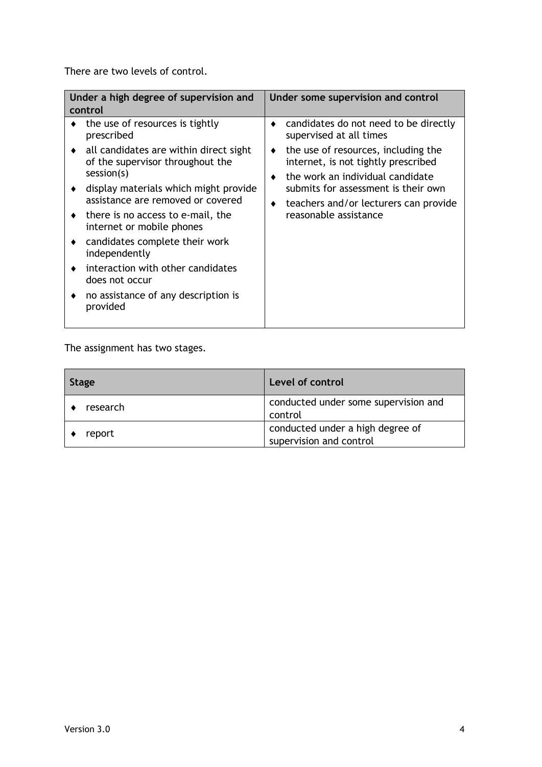There are two levels of control.

| Under a high degree of supervision and<br>control                                                                                                                                                                                                                                                                                                                                                                                                                | Under some supervision and control                                                                                                                                                                                                                                                                    |
|------------------------------------------------------------------------------------------------------------------------------------------------------------------------------------------------------------------------------------------------------------------------------------------------------------------------------------------------------------------------------------------------------------------------------------------------------------------|-------------------------------------------------------------------------------------------------------------------------------------------------------------------------------------------------------------------------------------------------------------------------------------------------------|
| the use of resources is tightly<br>prescribed<br>all candidates are within direct sight<br>of the supervisor throughout the<br>session(s)<br>display materials which might provide<br>assistance are removed or covered<br>there is no access to e-mail, the<br>internet or mobile phones<br>candidates complete their work<br>٠<br>independently<br>interaction with other candidates<br>does not occur<br>no assistance of any description is<br>٠<br>provided | candidates do not need to be directly<br>supervised at all times<br>the use of resources, including the<br>٠<br>internet, is not tightly prescribed<br>the work an individual candidate<br>submits for assessment is their own<br>teachers and/or lecturers can provide<br>٠<br>reasonable assistance |
|                                                                                                                                                                                                                                                                                                                                                                                                                                                                  |                                                                                                                                                                                                                                                                                                       |

The assignment has two stages.

| <b>Stage</b> | Level of control                                            |  |  |
|--------------|-------------------------------------------------------------|--|--|
| research     | conducted under some supervision and<br>control             |  |  |
| report       | conducted under a high degree of<br>supervision and control |  |  |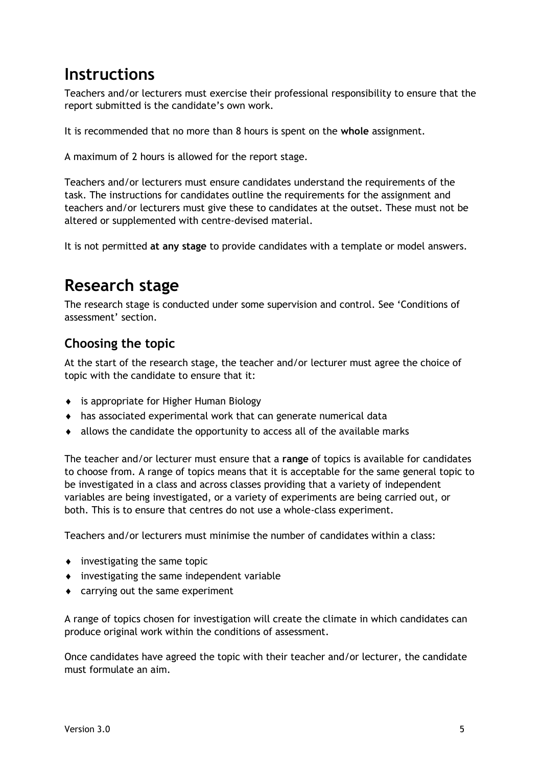### **Instructions**

Teachers and/or lecturers must exercise their professional responsibility to ensure that the report submitted is the candidate's own work.

It is recommended that no more than 8 hours is spent on the **whole** assignment.

A maximum of 2 hours is allowed for the report stage.

Teachers and/or lecturers must ensure candidates understand the requirements of the task. The instructions for candidates outline the requirements for the assignment and teachers and/or lecturers must give these to candidates at the outset. These must not be altered or supplemented with centre-devised material.

It is not permitted **at any stage** to provide candidates with a template or model answers.

## **Research stage**

The research stage is conducted under some supervision and control. See 'Conditions of assessment' section.

### **Choosing the topic**

At the start of the research stage, the teacher and/or lecturer must agree the choice of topic with the candidate to ensure that it:

- is appropriate for Higher Human Biology
- has associated experimental work that can generate numerical data
- allows the candidate the opportunity to access all of the available marks

The teacher and/or lecturer must ensure that a **range** of topics is available for candidates to choose from. A range of topics means that it is acceptable for the same general topic to be investigated in a class and across classes providing that a variety of independent variables are being investigated, or a variety of experiments are being carried out, or both. This is to ensure that centres do not use a whole-class experiment.

Teachers and/or lecturers must minimise the number of candidates within a class:

- investigating the same topic
- $\bullet$  investigating the same independent variable
- carrying out the same experiment

A range of topics chosen for investigation will create the climate in which candidates can produce original work within the conditions of assessment.

Once candidates have agreed the topic with their teacher and/or lecturer, the candidate must formulate an aim.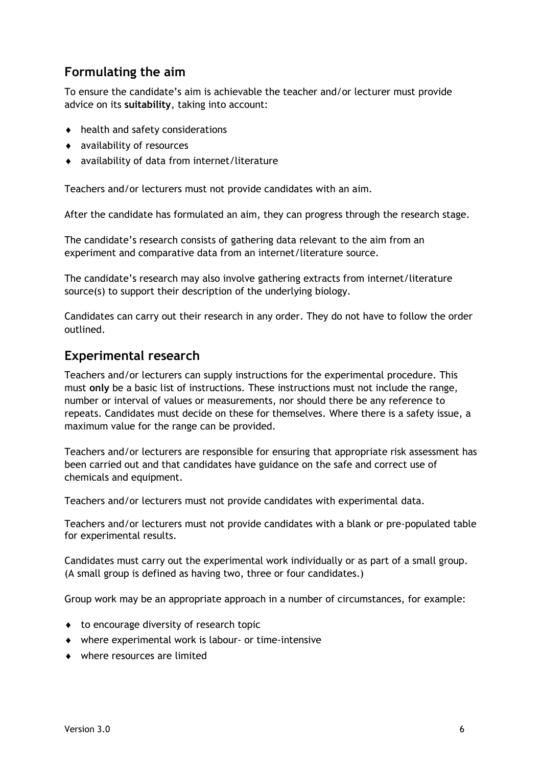### **Formulating the aim**

To ensure the candidate's aim is achievable the teacher and/or lecturer must provide advice on its **suitability**, taking into account:

- $\bullet$  health and safety considerations
- availability of resources
- availability of data from internet/literature

Teachers and/or lecturers must not provide candidates with an aim.

After the candidate has formulated an aim, they can progress through the research stage.

The candidate's research consists of gathering data relevant to the aim from an experiment and comparative data from an internet/literature source.

The candidate's research may also involve gathering extracts from internet/literature source(s) to support their description of the underlying biology.

Candidates can carry out their research in any order. They do not have to follow the order outlined.

#### **Experimental research**

Teachers and/or lecturers can supply instructions for the experimental procedure. This must **only** be a basic list of instructions. These instructions must not include the range, number or interval of values or measurements, nor should there be any reference to repeats. Candidates must decide on these for themselves. Where there is a safety issue, a maximum value for the range can be provided.

Teachers and/or lecturers are responsible for ensuring that appropriate risk assessment has been carried out and that candidates have guidance on the safe and correct use of chemicals and equipment.

Teachers and/or lecturers must not provide candidates with experimental data.

Teachers and/or lecturers must not provide candidates with a blank or pre-populated table for experimental results.

Candidates must carry out the experimental work individually or as part of a small group. (A small group is defined as having two, three or four candidates.)

Group work may be an appropriate approach in a number of circumstances, for example:

- $\bullet$  to encourage diversity of research topic
- where experimental work is labour- or time-intensive
- where resources are limited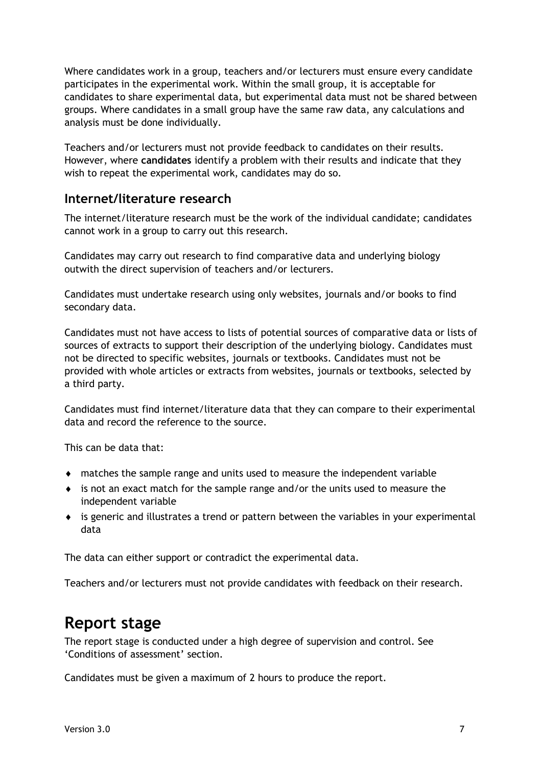Where candidates work in a group, teachers and/or lecturers must ensure every candidate participates in the experimental work. Within the small group, it is acceptable for candidates to share experimental data, but experimental data must not be shared between groups. Where candidates in a small group have the same raw data, any calculations and analysis must be done individually.

Teachers and/or lecturers must not provide feedback to candidates on their results. However, where **candidates** identify a problem with their results and indicate that they wish to repeat the experimental work, candidates may do so.

#### **Internet/literature research**

The internet/literature research must be the work of the individual candidate; candidates cannot work in a group to carry out this research.

Candidates may carry out research to find comparative data and underlying biology outwith the direct supervision of teachers and/or lecturers.

Candidates must undertake research using only websites, journals and/or books to find secondary data.

Candidates must not have access to lists of potential sources of comparative data or lists of sources of extracts to support their description of the underlying biology. Candidates must not be directed to specific websites, journals or textbooks. Candidates must not be provided with whole articles or extracts from websites, journals or textbooks, selected by a third party.

Candidates must find internet/literature data that they can compare to their experimental data and record the reference to the source.

This can be data that:

- matches the sample range and units used to measure the independent variable
- is not an exact match for the sample range and/or the units used to measure the independent variable
- is generic and illustrates a trend or pattern between the variables in your experimental data

The data can either support or contradict the experimental data.

Teachers and/or lecturers must not provide candidates with feedback on their research.

### **Report stage**

The report stage is conducted under a high degree of supervision and control. See 'Conditions of assessment' section.

Candidates must be given a maximum of 2 hours to produce the report.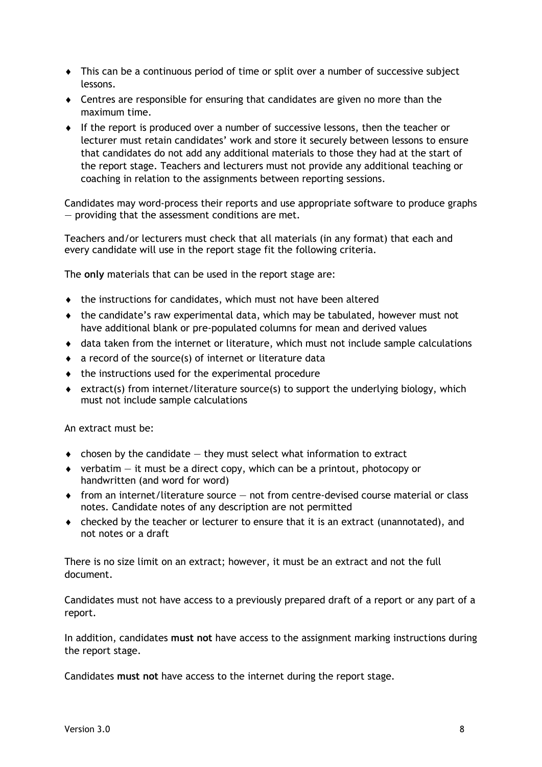- This can be a continuous period of time or split over a number of successive subject lessons.
- Centres are responsible for ensuring that candidates are given no more than the maximum time.
- If the report is produced over a number of successive lessons, then the teacher or lecturer must retain candidates' work and store it securely between lessons to ensure that candidates do not add any additional materials to those they had at the start of the report stage. Teachers and lecturers must not provide any additional teaching or coaching in relation to the assignments between reporting sessions.

Candidates may word-process their reports and use appropriate software to produce graphs — providing that the assessment conditions are met.

Teachers and/or lecturers must check that all materials (in any format) that each and every candidate will use in the report stage fit the following criteria.

The **only** materials that can be used in the report stage are:

- the instructions for candidates, which must not have been altered
- the candidate's raw experimental data, which may be tabulated, however must not have additional blank or pre-populated columns for mean and derived values
- data taken from the internet or literature, which must not include sample calculations
- a record of the source(s) of internet or literature data
- $\bullet$  the instructions used for the experimental procedure
- $\bullet$  extract(s) from internet/literature source(s) to support the underlying biology, which must not include sample calculations

An extract must be:

- $\bullet$  chosen by the candidate  $-$  they must select what information to extract
- $\bullet$  verbatim it must be a direct copy, which can be a printout, photocopy or handwritten (and word for word)
- $\bullet$  from an internet/literature source  $-$  not from centre-devised course material or class notes. Candidate notes of any description are not permitted
- checked by the teacher or lecturer to ensure that it is an extract (unannotated), and not notes or a draft

There is no size limit on an extract; however, it must be an extract and not the full document.

Candidates must not have access to a previously prepared draft of a report or any part of a report.

In addition, candidates **must not** have access to the assignment marking instructions during the report stage.

Candidates **must not** have access to the internet during the report stage.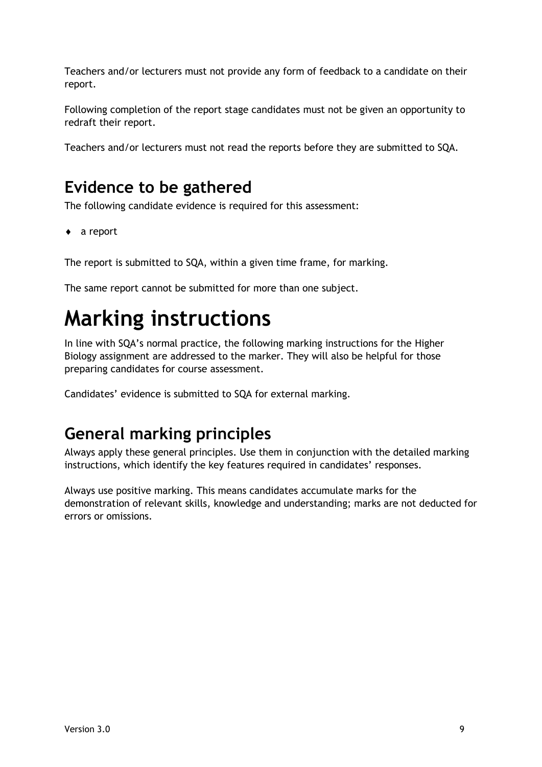Teachers and/or lecturers must not provide any form of feedback to a candidate on their report.

Following completion of the report stage candidates must not be given an opportunity to redraft their report.

Teachers and/or lecturers must not read the reports before they are submitted to SQA.

### **Evidence to be gathered**

The following candidate evidence is required for this assessment:

◆ a report

The report is submitted to SQA, within a given time frame, for marking.

The same report cannot be submitted for more than one subject.

# <span id="page-10-0"></span>**Marking instructions**

In line with SQA's normal practice, the following marking instructions for the Higher Biology assignment are addressed to the marker. They will also be helpful for those preparing candidates for course assessment.

Candidates' evidence is submitted to SQA for external marking.

## **General marking principles**

Always apply these general principles. Use them in conjunction with the detailed marking instructions, which identify the key features required in candidates' responses.

Always use positive marking. This means candidates accumulate marks for the demonstration of relevant skills, knowledge and understanding; marks are not deducted for errors or omissions.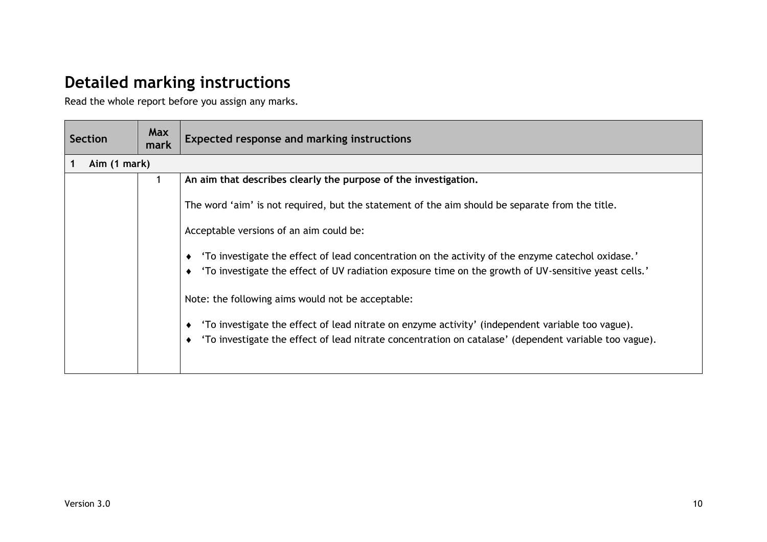## **Detailed marking instructions**

Read the whole report before you assign any marks.

| <b>Section</b> | <b>Max</b><br>mark | <b>Expected response and marking instructions</b>                                                     |  |
|----------------|--------------------|-------------------------------------------------------------------------------------------------------|--|
| Aim (1 mark)   |                    |                                                                                                       |  |
|                |                    | An aim that describes clearly the purpose of the investigation.                                       |  |
|                |                    | The word 'aim' is not required, but the statement of the aim should be separate from the title.       |  |
|                |                    | Acceptable versions of an aim could be:                                                               |  |
|                |                    | 'To investigate the effect of lead concentration on the activity of the enzyme catechol oxidase.'     |  |
|                |                    | 'To investigate the effect of UV radiation exposure time on the growth of UV-sensitive yeast cells.'  |  |
|                |                    | Note: the following aims would not be acceptable:                                                     |  |
|                |                    | 'To investigate the effect of lead nitrate on enzyme activity' (independent variable too vague).      |  |
|                |                    | 'To investigate the effect of lead nitrate concentration on catalase' (dependent variable too vague). |  |
|                |                    |                                                                                                       |  |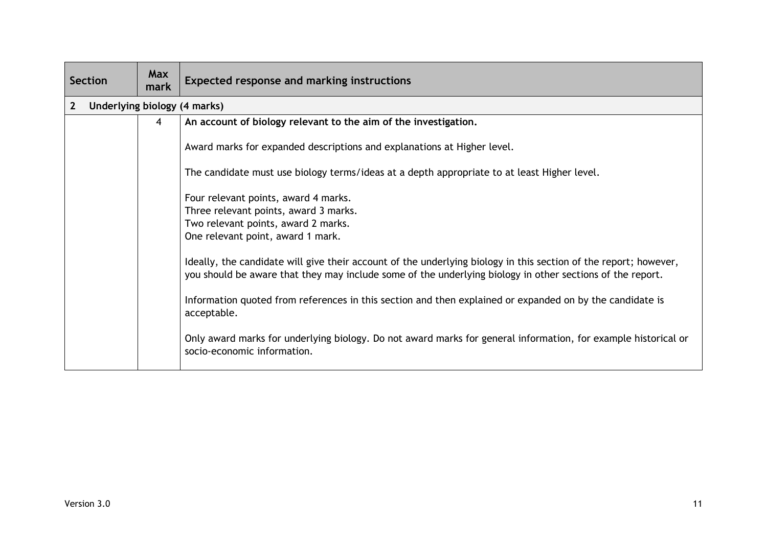| <b>Section</b>                               | <b>Max</b><br>mark | <b>Expected response and marking instructions</b>                                                                                                                                                                                                                                                                                                                                                                                                                                                                                                                                                                                                                      |  |
|----------------------------------------------|--------------------|------------------------------------------------------------------------------------------------------------------------------------------------------------------------------------------------------------------------------------------------------------------------------------------------------------------------------------------------------------------------------------------------------------------------------------------------------------------------------------------------------------------------------------------------------------------------------------------------------------------------------------------------------------------------|--|
| Underlying biology (4 marks)<br>$\mathbf{2}$ |                    |                                                                                                                                                                                                                                                                                                                                                                                                                                                                                                                                                                                                                                                                        |  |
|                                              | 4                  | An account of biology relevant to the aim of the investigation.                                                                                                                                                                                                                                                                                                                                                                                                                                                                                                                                                                                                        |  |
|                                              |                    | Award marks for expanded descriptions and explanations at Higher level.                                                                                                                                                                                                                                                                                                                                                                                                                                                                                                                                                                                                |  |
|                                              |                    | The candidate must use biology terms/ideas at a depth appropriate to at least Higher level.                                                                                                                                                                                                                                                                                                                                                                                                                                                                                                                                                                            |  |
|                                              |                    | Four relevant points, award 4 marks.<br>Three relevant points, award 3 marks.<br>Two relevant points, award 2 marks.<br>One relevant point, award 1 mark.<br>Ideally, the candidate will give their account of the underlying biology in this section of the report; however,<br>you should be aware that they may include some of the underlying biology in other sections of the report.<br>Information quoted from references in this section and then explained or expanded on by the candidate is<br>acceptable.<br>Only award marks for underlying biology. Do not award marks for general information, for example historical or<br>socio-economic information. |  |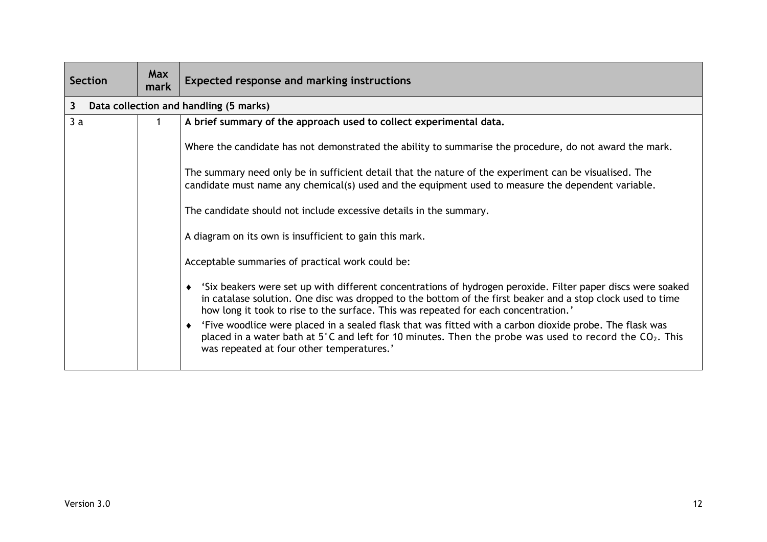| <b>Section</b> | <b>Max</b><br>mark | <b>Expected response and marking instructions</b>                                                                                                                                                                                                                                                                |  |
|----------------|--------------------|------------------------------------------------------------------------------------------------------------------------------------------------------------------------------------------------------------------------------------------------------------------------------------------------------------------|--|
| $\mathbf{3}$   |                    | Data collection and handling (5 marks)                                                                                                                                                                                                                                                                           |  |
| 3a             |                    | A brief summary of the approach used to collect experimental data.                                                                                                                                                                                                                                               |  |
|                |                    | Where the candidate has not demonstrated the ability to summarise the procedure, do not award the mark.                                                                                                                                                                                                          |  |
|                |                    | The summary need only be in sufficient detail that the nature of the experiment can be visualised. The<br>candidate must name any chemical(s) used and the equipment used to measure the dependent variable.                                                                                                     |  |
|                |                    | The candidate should not include excessive details in the summary.                                                                                                                                                                                                                                               |  |
|                |                    | A diagram on its own is insufficient to gain this mark.                                                                                                                                                                                                                                                          |  |
|                |                    | Acceptable summaries of practical work could be:                                                                                                                                                                                                                                                                 |  |
|                |                    | 'Six beakers were set up with different concentrations of hydrogen peroxide. Filter paper discs were soaked<br>in catalase solution. One disc was dropped to the bottom of the first beaker and a stop clock used to time<br>how long it took to rise to the surface. This was repeated for each concentration.' |  |
|                |                    | 'Five woodlice were placed in a sealed flask that was fitted with a carbon dioxide probe. The flask was<br>placed in a water bath at 5°C and left for 10 minutes. Then the probe was used to record the $CO_2$ . This<br>was repeated at four other temperatures.'                                               |  |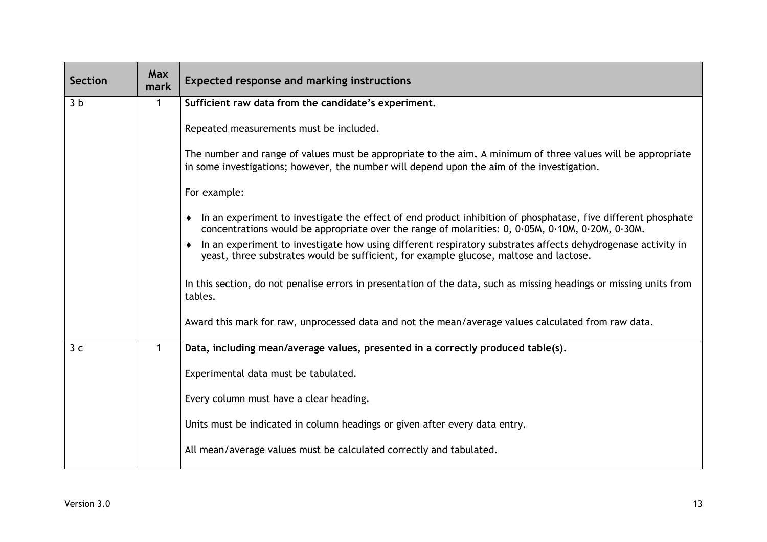| <b>Section</b> | <b>Max</b><br>mark | <b>Expected response and marking instructions</b>                                                                                                                                                                      |  |
|----------------|--------------------|------------------------------------------------------------------------------------------------------------------------------------------------------------------------------------------------------------------------|--|
| 3 <sub>b</sub> | 1                  | Sufficient raw data from the candidate's experiment.                                                                                                                                                                   |  |
|                |                    | Repeated measurements must be included.                                                                                                                                                                                |  |
|                |                    | The number and range of values must be appropriate to the aim. A minimum of three values will be appropriate<br>in some investigations; however, the number will depend upon the aim of the investigation.             |  |
|                |                    | For example:                                                                                                                                                                                                           |  |
|                |                    | In an experiment to investigate the effect of end product inhibition of phosphatase, five different phosphate<br>٠<br>concentrations would be appropriate over the range of molarities: 0, 0.05M, 0.10M, 0.20M, 0.30M. |  |
|                |                    | In an experiment to investigate how using different respiratory substrates affects dehydrogenase activity in<br>$\bullet$<br>yeast, three substrates would be sufficient, for example glucose, maltose and lactose.    |  |
|                |                    | In this section, do not penalise errors in presentation of the data, such as missing headings or missing units from<br>tables.                                                                                         |  |
|                |                    | Award this mark for raw, unprocessed data and not the mean/average values calculated from raw data.                                                                                                                    |  |
| 3 <sub>c</sub> | $\mathbf{1}$       | Data, including mean/average values, presented in a correctly produced table(s).                                                                                                                                       |  |
|                |                    | Experimental data must be tabulated.                                                                                                                                                                                   |  |
|                |                    | Every column must have a clear heading.                                                                                                                                                                                |  |
|                |                    | Units must be indicated in column headings or given after every data entry.                                                                                                                                            |  |
|                |                    | All mean/average values must be calculated correctly and tabulated.                                                                                                                                                    |  |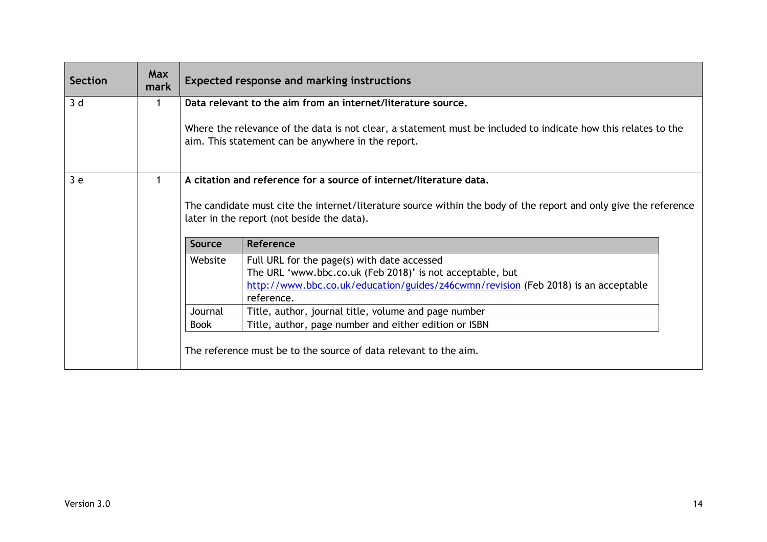| <b>Section</b> | <b>Max</b><br>mark | <b>Expected response and marking instructions</b>                |                                                                                                                                                                             |  |  |
|----------------|--------------------|------------------------------------------------------------------|-----------------------------------------------------------------------------------------------------------------------------------------------------------------------------|--|--|
| 3d             |                    |                                                                  | Data relevant to the aim from an internet/literature source.                                                                                                                |  |  |
|                |                    |                                                                  | Where the relevance of the data is not clear, a statement must be included to indicate how this relates to the<br>aim. This statement can be anywhere in the report.        |  |  |
| 3e             |                    |                                                                  | A citation and reference for a source of internet/literature data.                                                                                                          |  |  |
|                |                    | <b>Source</b>                                                    | The candidate must cite the internet/literature source within the body of the report and only give the reference<br>later in the report (not beside the data).<br>Reference |  |  |
|                |                    | Website                                                          | Full URL for the page(s) with date accessed                                                                                                                                 |  |  |
|                |                    |                                                                  | The URL 'www.bbc.co.uk (Feb 2018)' is not acceptable, but                                                                                                                   |  |  |
|                |                    |                                                                  | http://www.bbc.co.uk/education/guides/z46cwmn/revision (Feb 2018) is an acceptable                                                                                          |  |  |
|                |                    |                                                                  | reference.                                                                                                                                                                  |  |  |
|                |                    | Journal                                                          | Title, author, journal title, volume and page number                                                                                                                        |  |  |
|                |                    | <b>Book</b>                                                      | Title, author, page number and either edition or ISBN                                                                                                                       |  |  |
|                |                    | The reference must be to the source of data relevant to the aim. |                                                                                                                                                                             |  |  |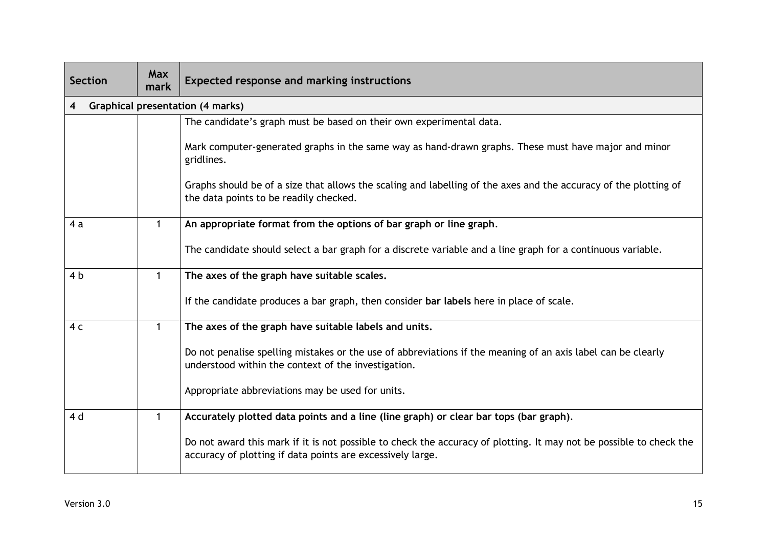| <b>Section</b> | <b>Max</b><br>mark | Expected response and marking instructions                                                                                                                                        |  |
|----------------|--------------------|-----------------------------------------------------------------------------------------------------------------------------------------------------------------------------------|--|
|                |                    | <b>Graphical presentation (4 marks)</b>                                                                                                                                           |  |
|                |                    | The candidate's graph must be based on their own experimental data.                                                                                                               |  |
|                |                    | Mark computer-generated graphs in the same way as hand-drawn graphs. These must have major and minor<br>gridlines.                                                                |  |
|                |                    | Graphs should be of a size that allows the scaling and labelling of the axes and the accuracy of the plotting of<br>the data points to be readily checked.                        |  |
| 4a             |                    | An appropriate format from the options of bar graph or line graph.                                                                                                                |  |
|                |                    | The candidate should select a bar graph for a discrete variable and a line graph for a continuous variable.                                                                       |  |
| 4 <sub>b</sub> | $\mathbf{1}$       | The axes of the graph have suitable scales.                                                                                                                                       |  |
|                |                    | If the candidate produces a bar graph, then consider bar labels here in place of scale.                                                                                           |  |
| 4 <sub>c</sub> | 1                  | The axes of the graph have suitable labels and units.                                                                                                                             |  |
|                |                    | Do not penalise spelling mistakes or the use of abbreviations if the meaning of an axis label can be clearly<br>understood within the context of the investigation.               |  |
|                |                    | Appropriate abbreviations may be used for units.                                                                                                                                  |  |
| 4 d            | 1                  | Accurately plotted data points and a line (line graph) or clear bar tops (bar graph).                                                                                             |  |
|                |                    | Do not award this mark if it is not possible to check the accuracy of plotting. It may not be possible to check the<br>accuracy of plotting if data points are excessively large. |  |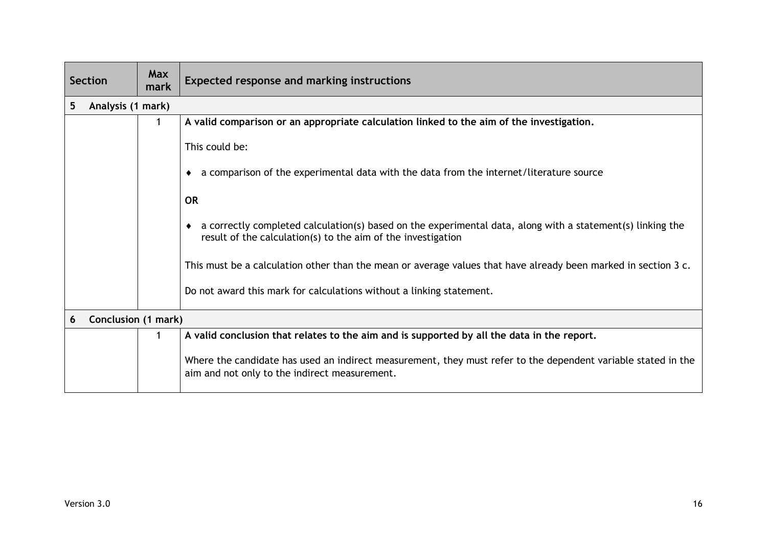| <b>Section</b>                  | <b>Max</b><br>mark | <b>Expected response and marking instructions</b>                                                                                                                          |  |
|---------------------------------|--------------------|----------------------------------------------------------------------------------------------------------------------------------------------------------------------------|--|
| Analysis (1 mark)<br>5          |                    |                                                                                                                                                                            |  |
|                                 |                    | A valid comparison or an appropriate calculation linked to the aim of the investigation.                                                                                   |  |
|                                 |                    | This could be:                                                                                                                                                             |  |
|                                 |                    | a comparison of the experimental data with the data from the internet/literature source                                                                                    |  |
|                                 |                    | <b>OR</b>                                                                                                                                                                  |  |
|                                 |                    | a correctly completed calculation(s) based on the experimental data, along with a statement(s) linking the<br>result of the calculation(s) to the aim of the investigation |  |
|                                 |                    | This must be a calculation other than the mean or average values that have already been marked in section 3 c.                                                             |  |
|                                 |                    | Do not award this mark for calculations without a linking statement.                                                                                                       |  |
| <b>Conclusion (1 mark)</b><br>6 |                    |                                                                                                                                                                            |  |
|                                 |                    | A valid conclusion that relates to the aim and is supported by all the data in the report.                                                                                 |  |
|                                 |                    | Where the candidate has used an indirect measurement, they must refer to the dependent variable stated in the<br>aim and not only to the indirect measurement.             |  |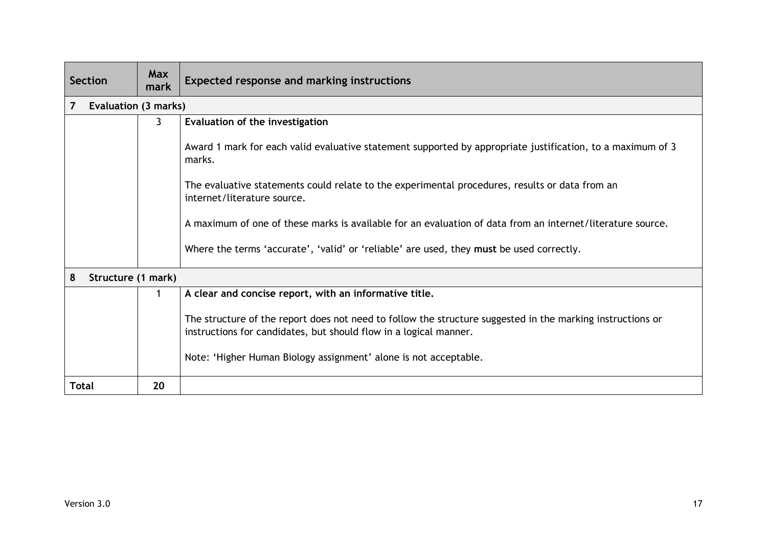| <b>Section</b>                         | <b>Max</b><br>mark | <b>Expected response and marking instructions</b>                                                                                                                               |  |
|----------------------------------------|--------------------|---------------------------------------------------------------------------------------------------------------------------------------------------------------------------------|--|
| $\overline{7}$<br>Evaluation (3 marks) |                    |                                                                                                                                                                                 |  |
|                                        | 3                  | Evaluation of the investigation                                                                                                                                                 |  |
|                                        |                    | Award 1 mark for each valid evaluative statement supported by appropriate justification, to a maximum of 3<br>marks.                                                            |  |
|                                        |                    | The evaluative statements could relate to the experimental procedures, results or data from an<br>internet/literature source.                                                   |  |
|                                        |                    | A maximum of one of these marks is available for an evaluation of data from an internet/literature source.                                                                      |  |
|                                        |                    | Where the terms 'accurate', 'valid' or 'reliable' are used, they must be used correctly.                                                                                        |  |
| 8<br>Structure (1 mark)                |                    |                                                                                                                                                                                 |  |
|                                        |                    | A clear and concise report, with an informative title.                                                                                                                          |  |
|                                        |                    | The structure of the report does not need to follow the structure suggested in the marking instructions or<br>instructions for candidates, but should flow in a logical manner. |  |
|                                        |                    | Note: 'Higher Human Biology assignment' alone is not acceptable.                                                                                                                |  |
| <b>Total</b>                           | 20                 |                                                                                                                                                                                 |  |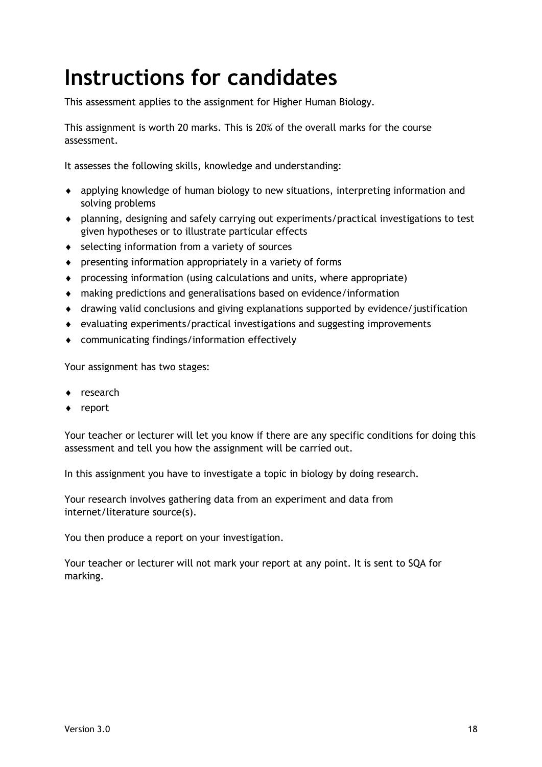# <span id="page-19-0"></span>**Instructions for candidates**

This assessment applies to the assignment for Higher Human Biology.

This assignment is worth 20 marks. This is 20% of the overall marks for the course assessment.

It assesses the following skills, knowledge and understanding:

- applying knowledge of human biology to new situations, interpreting information and solving problems
- planning, designing and safely carrying out experiments/practical investigations to test given hypotheses or to illustrate particular effects
- ◆ selecting information from a variety of sources
- presenting information appropriately in a variety of forms
- processing information (using calculations and units, where appropriate)
- making predictions and generalisations based on evidence/information
- drawing valid conclusions and giving explanations supported by evidence/justification
- evaluating experiments/practical investigations and suggesting improvements
- communicating findings/information effectively

Your assignment has two stages:

- ◆ research
- ◆ report

Your teacher or lecturer will let you know if there are any specific conditions for doing this assessment and tell you how the assignment will be carried out.

In this assignment you have to investigate a topic in biology by doing research.

Your research involves gathering data from an experiment and data from internet/literature source(s).

You then produce a report on your investigation.

Your teacher or lecturer will not mark your report at any point. It is sent to SQA for marking.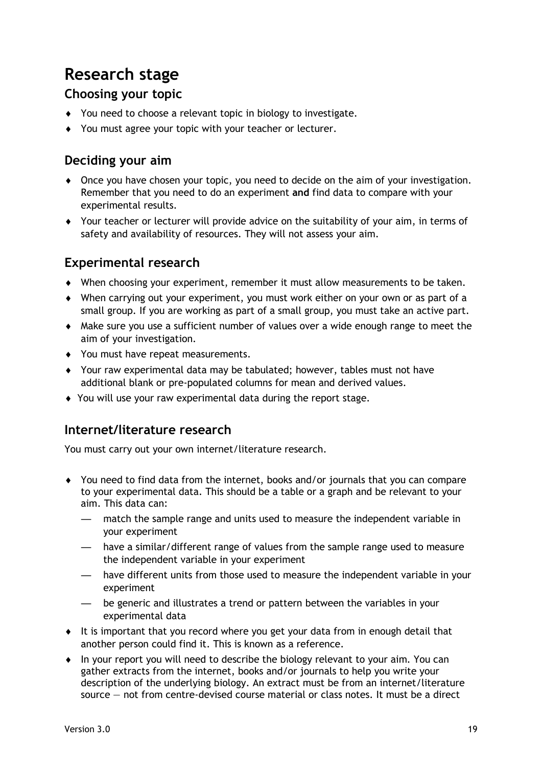## **Research stage**

### **Choosing your topic**

- You need to choose a relevant topic in biology to investigate.
- You must agree your topic with your teacher or lecturer.

### **Deciding your aim**

- Once you have chosen your topic, you need to decide on the aim of your investigation. Remember that you need to do an experiment **and** find data to compare with your experimental results.
- Your teacher or lecturer will provide advice on the suitability of your aim, in terms of safety and availability of resources. They will not assess your aim.

### **Experimental research**

- When choosing your experiment, remember it must allow measurements to be taken.
- When carrying out your experiment, you must work either on your own or as part of a small group. If you are working as part of a small group, you must take an active part.
- Make sure you use a sufficient number of values over a wide enough range to meet the aim of your investigation.
- ◆ You must have repeat measurements.
- Your raw experimental data may be tabulated; however, tables must not have additional blank or pre-populated columns for mean and derived values.
- You will use your raw experimental data during the report stage.

### **Internet/literature research**

You must carry out your own internet/literature research.

- You need to find data from the internet, books and/or journals that you can compare to your experimental data. This should be a table or a graph and be relevant to your aim. This data can:
	- match the sample range and units used to measure the independent variable in your experiment
	- have a similar/different range of values from the sample range used to measure the independent variable in your experiment
	- have different units from those used to measure the independent variable in your experiment
	- be generic and illustrates a trend or pattern between the variables in your experimental data
- It is important that you record where you get your data from in enough detail that another person could find it. This is known as a reference.
- $\bullet$  In your report you will need to describe the biology relevant to your aim. You can gather extracts from the internet, books and/or journals to help you write your description of the underlying biology. An extract must be from an internet/literature source — not from centre-devised course material or class notes. It must be a direct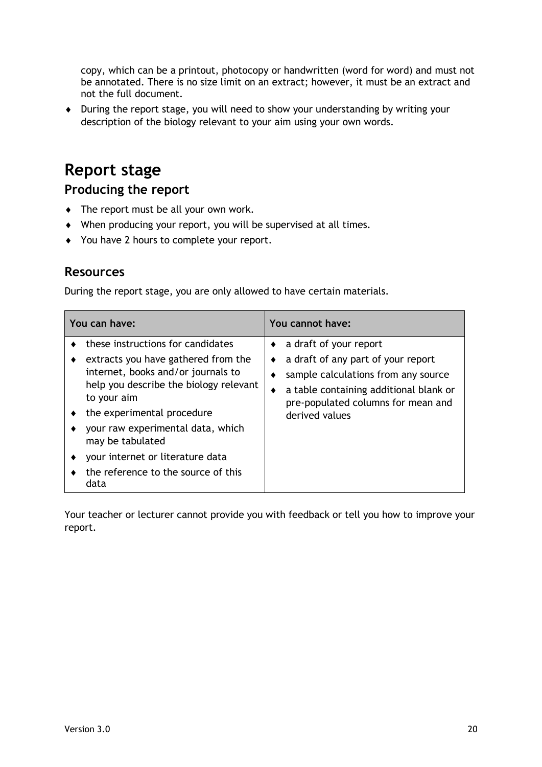copy, which can be a printout, photocopy or handwritten (word for word) and must not be annotated. There is no size limit on an extract; however, it must be an extract and not the full document.

 During the report stage, you will need to show your understanding by writing your description of the biology relevant to your aim using your own words.

### **Report stage**

**Producing the report**

- The report must be all your own work.
- When producing your report, you will be supervised at all times.
- You have 2 hours to complete your report.

### **Resources**

During the report stage, you are only allowed to have certain materials.

| You can have:                           |                                                                                                                                                                                                                                                                                                        | You cannot have: |                                                                                                                                                                                                                 |  |
|-----------------------------------------|--------------------------------------------------------------------------------------------------------------------------------------------------------------------------------------------------------------------------------------------------------------------------------------------------------|------------------|-----------------------------------------------------------------------------------------------------------------------------------------------------------------------------------------------------------------|--|
| to your aim<br>may be tabulated<br>data | these instructions for candidates<br>extracts you have gathered from the<br>internet, books and/or journals to<br>help you describe the biology relevant<br>the experimental procedure<br>your raw experimental data, which<br>your internet or literature data<br>the reference to the source of this | $\bullet$        | $\bullet$ a draft of your report<br>a draft of any part of your report<br>sample calculations from any source<br>a table containing additional blank or<br>pre-populated columns for mean and<br>derived values |  |

Your teacher or lecturer cannot provide you with feedback or tell you how to improve your report.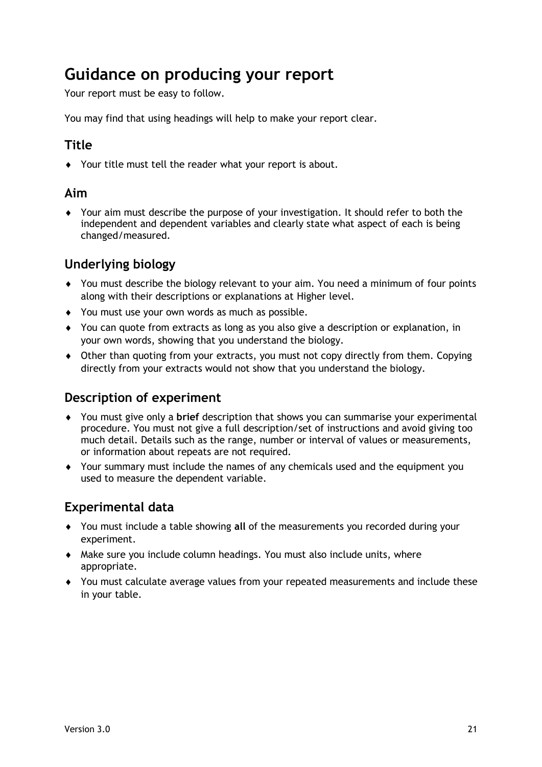### **Guidance on producing your report**

Your report must be easy to follow.

You may find that using headings will help to make your report clear.

### **Title**

Your title must tell the reader what your report is about.

#### **Aim**

 Your aim must describe the purpose of your investigation. It should refer to both the independent and dependent variables and clearly state what aspect of each is being changed/measured.

### **Underlying biology**

- You must describe the biology relevant to your aim. You need a minimum of four points along with their descriptions or explanations at Higher level.
- ◆ You must use your own words as much as possible.
- You can quote from extracts as long as you also give a description or explanation, in your own words, showing that you understand the biology.
- Other than quoting from your extracts, you must not copy directly from them. Copying directly from your extracts would not show that you understand the biology.

### **Description of experiment**

- You must give only a **brief** description that shows you can summarise your experimental procedure. You must not give a full description/set of instructions and avoid giving too much detail. Details such as the range, number or interval of values or measurements, or information about repeats are not required.
- Your summary must include the names of any chemicals used and the equipment you used to measure the dependent variable.

### **Experimental data**

- You must include a table showing **all** of the measurements you recorded during your experiment.
- Make sure you include column headings. You must also include units, where appropriate.
- You must calculate average values from your repeated measurements and include these in your table.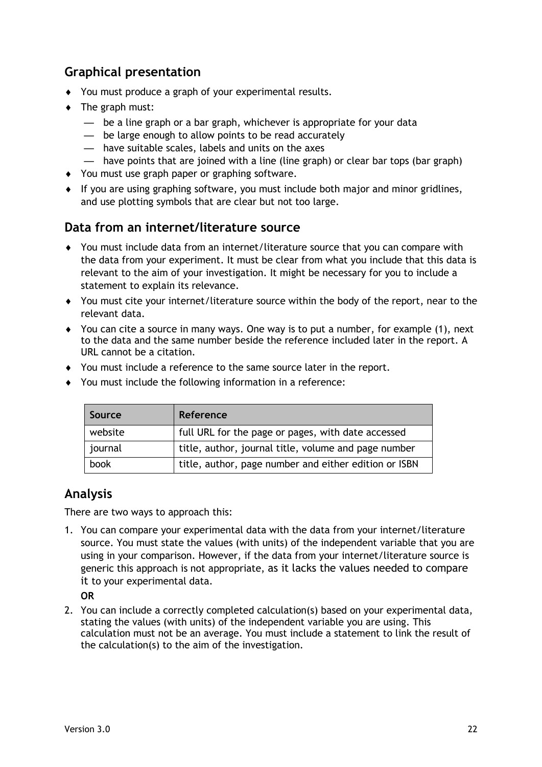### **Graphical presentation**

- You must produce a graph of your experimental results.
- $\bullet$  The graph must:
	- be a line graph or a bar graph, whichever is appropriate for your data
	- be large enough to allow points to be read accurately
	- have suitable scales, labels and units on the axes
	- have points that are joined with a line (line graph) or clear bar tops (bar graph)
- You must use graph paper or graphing software.
- If you are using graphing software, you must include both major and minor gridlines, and use plotting symbols that are clear but not too large.

#### **Data from an internet/literature source**

- You must include data from an internet/literature source that you can compare with the data from your experiment. It must be clear from what you include that this data is relevant to the aim of your investigation. It might be necessary for you to include a statement to explain its relevance.
- You must cite your internet/literature source within the body of the report, near to the relevant data.
- $\blacklozenge$  You can cite a source in many ways. One way is to put a number, for example (1), next to the data and the same number beside the reference included later in the report. A URL cannot be a citation.
- You must include a reference to the same source later in the report.
- You must include the following information in a reference:

| Source  | Reference                                             |
|---------|-------------------------------------------------------|
| website | full URL for the page or pages, with date accessed    |
| journal | title, author, journal title, volume and page number  |
| book    | title, author, page number and either edition or ISBN |

### **Analysis**

There are two ways to approach this:

1. You can compare your experimental data with the data from your internet/literature source. You must state the values (with units) of the independent variable that you are using in your comparison. However, if the data from your internet/literature source is generic this approach is not appropriate, as it lacks the values needed to compare it to your experimental data.

**OR**

2. You can include a correctly completed calculation(s) based on your experimental data, stating the values (with units) of the independent variable you are using. This calculation must not be an average. You must include a statement to link the result of the calculation(s) to the aim of the investigation.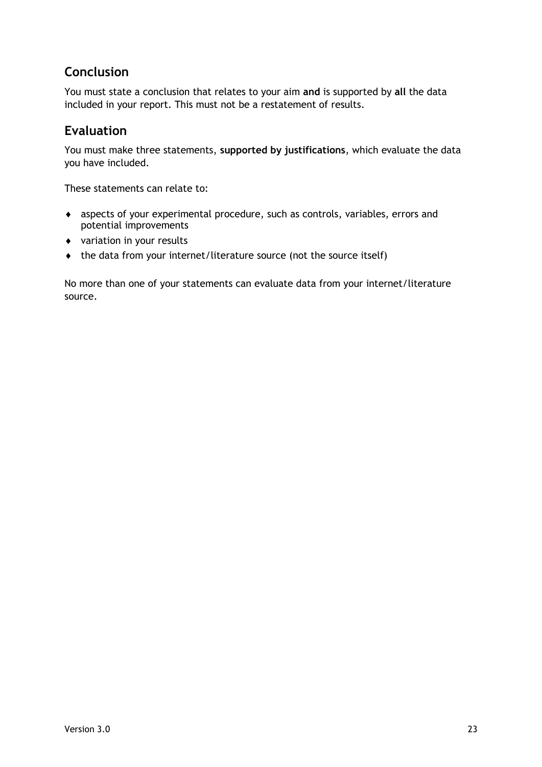### **Conclusion**

You must state a conclusion that relates to your aim **and** is supported by **all** the data included in your report. This must not be a restatement of results.

#### **Evaluation**

You must make three statements, **supported by justifications**, which evaluate the data you have included.

These statements can relate to:

- aspects of your experimental procedure, such as controls, variables, errors and potential improvements
- variation in your results
- $\bullet$  the data from your internet/literature source (not the source itself)

No more than one of your statements can evaluate data from your internet/literature source.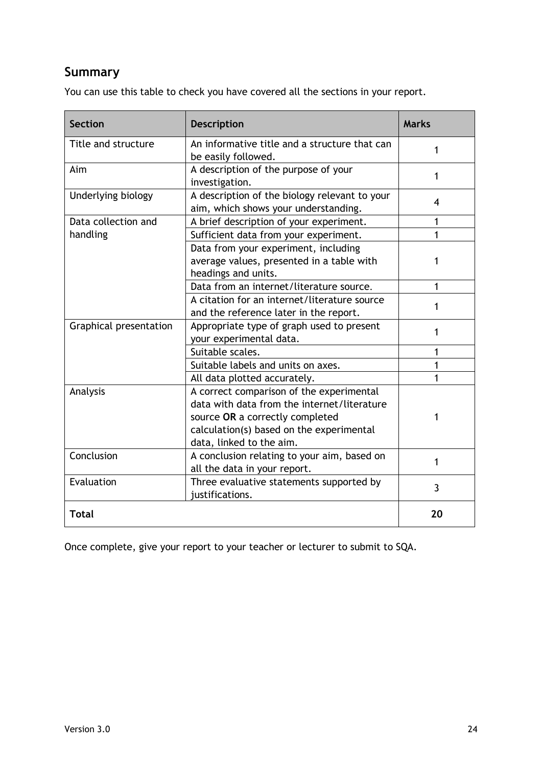### **Summary**

You can use this table to check you have covered all the sections in your report.

| <b>Section</b>         | <b>Description</b>                                                                                                                                                                                 | <b>Marks</b> |
|------------------------|----------------------------------------------------------------------------------------------------------------------------------------------------------------------------------------------------|--------------|
| Title and structure    | An informative title and a structure that can<br>be easily followed.                                                                                                                               | 1            |
| Aim                    | A description of the purpose of your<br>investigation.                                                                                                                                             | 1            |
| Underlying biology     | A description of the biology relevant to your<br>aim, which shows your understanding.                                                                                                              | 4            |
| Data collection and    | A brief description of your experiment.                                                                                                                                                            | 1            |
| handling               | Sufficient data from your experiment.                                                                                                                                                              | 1            |
|                        | Data from your experiment, including<br>average values, presented in a table with<br>headings and units.                                                                                           | 1            |
|                        | Data from an internet/literature source.                                                                                                                                                           | 1            |
|                        | A citation for an internet/literature source<br>and the reference later in the report.                                                                                                             | 1            |
| Graphical presentation | Appropriate type of graph used to present<br>your experimental data.                                                                                                                               | 1            |
|                        | Suitable scales.                                                                                                                                                                                   | 1            |
|                        | Suitable labels and units on axes.                                                                                                                                                                 | 1            |
|                        | All data plotted accurately.                                                                                                                                                                       | 1            |
| Analysis               | A correct comparison of the experimental<br>data with data from the internet/literature<br>source OR a correctly completed<br>calculation(s) based on the experimental<br>data, linked to the aim. | 1            |
| Conclusion             | A conclusion relating to your aim, based on<br>all the data in your report.                                                                                                                        | 1            |
| Evaluation             | Three evaluative statements supported by<br>justifications.                                                                                                                                        | 3            |
| <b>Total</b>           |                                                                                                                                                                                                    | 20           |

Once complete, give your report to your teacher or lecturer to submit to SQA.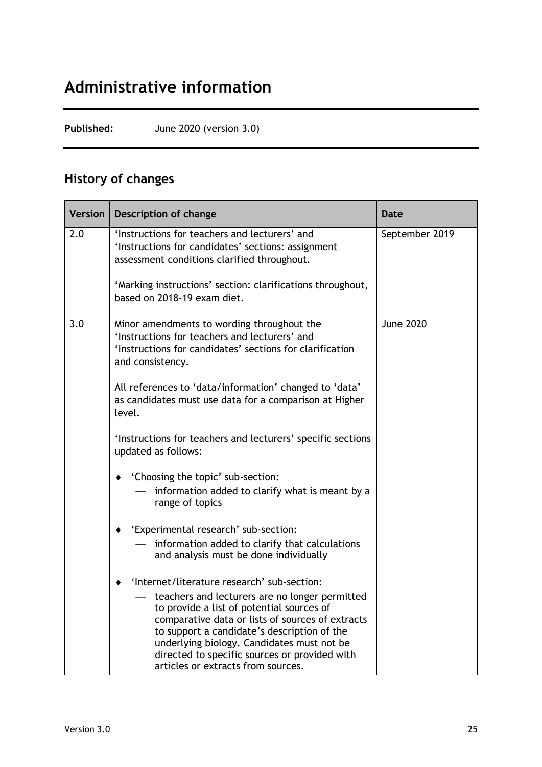## **Administrative information**

**Published:** June 2020 (version 3.0)

### **History of changes**

| Version | <b>Description of change</b>                                                                                                                                                                                                                                                                                                        | <b>Date</b>      |
|---------|-------------------------------------------------------------------------------------------------------------------------------------------------------------------------------------------------------------------------------------------------------------------------------------------------------------------------------------|------------------|
| 2.0     | 'Instructions for teachers and lecturers' and<br>'Instructions for candidates' sections: assignment<br>assessment conditions clarified throughout.                                                                                                                                                                                  | September 2019   |
|         | 'Marking instructions' section: clarifications throughout,<br>based on 2018-19 exam diet.                                                                                                                                                                                                                                           |                  |
| 3.0     | Minor amendments to wording throughout the<br>'Instructions for teachers and lecturers' and<br>'Instructions for candidates' sections for clarification<br>and consistency.                                                                                                                                                         | <b>June 2020</b> |
|         | All references to 'data/information' changed to 'data'<br>as candidates must use data for a comparison at Higher<br>level.                                                                                                                                                                                                          |                  |
|         | 'Instructions for teachers and lecturers' specific sections<br>updated as follows:                                                                                                                                                                                                                                                  |                  |
|         | 'Choosing the topic' sub-section:                                                                                                                                                                                                                                                                                                   |                  |
|         | information added to clarify what is meant by a<br>range of topics                                                                                                                                                                                                                                                                  |                  |
|         | 'Experimental research' sub-section:<br>٠                                                                                                                                                                                                                                                                                           |                  |
|         | information added to clarify that calculations<br>and analysis must be done individually                                                                                                                                                                                                                                            |                  |
|         | 'Internet/literature research' sub-section:                                                                                                                                                                                                                                                                                         |                  |
|         | teachers and lecturers are no longer permitted<br>to provide a list of potential sources of<br>comparative data or lists of sources of extracts<br>to support a candidate's description of the<br>underlying biology. Candidates must not be<br>directed to specific sources or provided with<br>articles or extracts from sources. |                  |